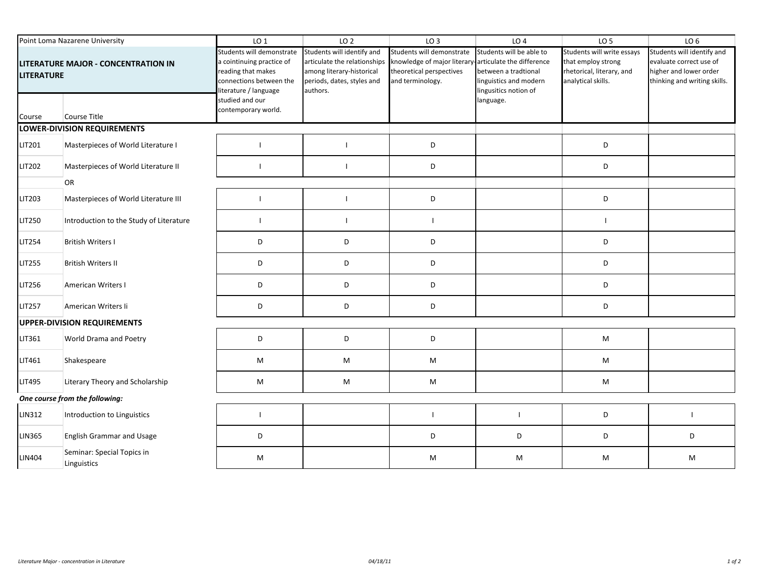| Point Loma Nazarene University                           |                                           | LO <sub>1</sub>                                                                                                                  | LO <sub>2</sub>                                                                                                                   | LO <sub>3</sub>                                                                                                                    | LO <sub>4</sub>                                                                                     | LO <sub>5</sub>                                                                                     | LO <sub>6</sub>                                                                                                 |  |
|----------------------------------------------------------|-------------------------------------------|----------------------------------------------------------------------------------------------------------------------------------|-----------------------------------------------------------------------------------------------------------------------------------|------------------------------------------------------------------------------------------------------------------------------------|-----------------------------------------------------------------------------------------------------|-----------------------------------------------------------------------------------------------------|-----------------------------------------------------------------------------------------------------------------|--|
| LITERATURE MAJOR - CONCENTRATION IN<br><b>LITERATURE</b> |                                           | Students will demonstrate<br>a cointinuing practice of<br>reading that makes<br>connections between the<br>literature / language | Students will identify and<br>articulate the relationships<br>among literary-historical<br>periods, dates, styles and<br>authors. | Students will demonstrate<br>knowledge of major literary-articulate the difference<br>theoretical perspectives<br>and terminology. | Students will be able to<br>between a tradtional<br>linguistics and modern<br>lingusitics notion of | Students will write essays<br>that employ strong<br>rhetorical, literary, and<br>analytical skills. | Students will identify and<br>evaluate correct use of<br>higher and lower order<br>thinking and writing skills. |  |
| Course                                                   | Course Title                              | studied and our<br>contemporary world.                                                                                           |                                                                                                                                   |                                                                                                                                    | language.                                                                                           |                                                                                                     |                                                                                                                 |  |
| LOWER-DIVISION REQUIREMENTS                              |                                           |                                                                                                                                  |                                                                                                                                   |                                                                                                                                    |                                                                                                     |                                                                                                     |                                                                                                                 |  |
| <b>LIT201</b>                                            | Masterpieces of World Literature I        | -1                                                                                                                               |                                                                                                                                   | D                                                                                                                                  |                                                                                                     | D                                                                                                   |                                                                                                                 |  |
| LIT202                                                   | Masterpieces of World Literature II       | $\mathbf{I}$                                                                                                                     | $\overline{1}$                                                                                                                    | D                                                                                                                                  |                                                                                                     | D                                                                                                   |                                                                                                                 |  |
|                                                          | OR                                        |                                                                                                                                  |                                                                                                                                   |                                                                                                                                    |                                                                                                     |                                                                                                     |                                                                                                                 |  |
| <b>LIT203</b>                                            | Masterpieces of World Literature III      | $\mathbf{I}$                                                                                                                     | $\blacksquare$                                                                                                                    | D                                                                                                                                  |                                                                                                     | D                                                                                                   |                                                                                                                 |  |
| LIT250                                                   | Introduction to the Study of Literature   | $\mathbf{I}$                                                                                                                     | $\mathbf{I}$                                                                                                                      | $\mathbf{I}$                                                                                                                       |                                                                                                     |                                                                                                     |                                                                                                                 |  |
| <b>LIT254</b>                                            | <b>British Writers I</b>                  | D                                                                                                                                | D                                                                                                                                 | D                                                                                                                                  |                                                                                                     | D                                                                                                   |                                                                                                                 |  |
| <b>LIT255</b>                                            | <b>British Writers II</b>                 | D                                                                                                                                | D                                                                                                                                 | D                                                                                                                                  |                                                                                                     | D                                                                                                   |                                                                                                                 |  |
| <b>LIT256</b>                                            | American Writers I                        | D                                                                                                                                | D                                                                                                                                 | D                                                                                                                                  |                                                                                                     | D                                                                                                   |                                                                                                                 |  |
| <b>LIT257</b>                                            | American Writers Ii                       | D                                                                                                                                | D                                                                                                                                 | D                                                                                                                                  |                                                                                                     | D                                                                                                   |                                                                                                                 |  |
| <b>UPPER-DIVISION REQUIREMENTS</b>                       |                                           |                                                                                                                                  |                                                                                                                                   |                                                                                                                                    |                                                                                                     |                                                                                                     |                                                                                                                 |  |
| LIT361                                                   | World Drama and Poetry                    | D                                                                                                                                | D                                                                                                                                 | D                                                                                                                                  |                                                                                                     | M                                                                                                   |                                                                                                                 |  |
| LIT461                                                   | Shakespeare                               | M                                                                                                                                | M                                                                                                                                 | M                                                                                                                                  |                                                                                                     | M                                                                                                   |                                                                                                                 |  |
| <b>LIT495</b>                                            | Literary Theory and Scholarship           | M                                                                                                                                | M                                                                                                                                 | M                                                                                                                                  |                                                                                                     | M                                                                                                   |                                                                                                                 |  |
|                                                          | One course from the following:            |                                                                                                                                  |                                                                                                                                   |                                                                                                                                    |                                                                                                     |                                                                                                     |                                                                                                                 |  |
| <b>LIN312</b>                                            | Introduction to Linguistics               | $\mathbf{I}$                                                                                                                     |                                                                                                                                   |                                                                                                                                    |                                                                                                     | D                                                                                                   |                                                                                                                 |  |
| LIN365                                                   | <b>English Grammar and Usage</b>          | D                                                                                                                                |                                                                                                                                   | D                                                                                                                                  | D                                                                                                   | D                                                                                                   | D                                                                                                               |  |
| LIN404                                                   | Seminar: Special Topics in<br>Linguistics | M                                                                                                                                |                                                                                                                                   | M                                                                                                                                  | M                                                                                                   | M                                                                                                   | M                                                                                                               |  |